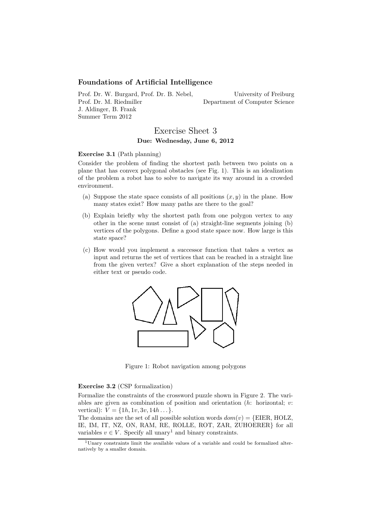## Foundations of Artificial Intelligence

Prof. Dr. W. Burgard, Prof. Dr. B. Nebel, Prof. Dr. M. Riedmiller J. Aldinger, B. Frank Summer Term 2012

University of Freiburg Department of Computer Science

## Exercise Sheet 3 Due: Wednesday, June 6, 2012

## Exercise 3.1 (Path planning)

Consider the problem of finding the shortest path between two points on a plane that has convex polygonal obstacles (see Fig. 1). This is an idealization of the problem a robot has to solve to navigate its way around in a crowded environment.

- (a) Suppose the state space consists of all positions  $(x, y)$  in the plane. How many states exist? How many paths are there to the goal?
- (b) Explain briefly why the shortest path from one polygon vertex to any other in the scene must consist of (a) straight-line segments joining (b) vertices of the polygons. Define a good state space now. How large is this state space?
- (c) How would you implement a successor function that takes a vertex as input and returns the set of vertices that can be reached in a straight line from the given vertex? Give a short explanation of the steps needed in either text or pseudo code.



Figure 1: Robot navigation among polygons

## Exercise 3.2 (CSP formalization)

Formalize the constraints of the crossword puzzle shown in Figure 2. The variables are given as combination of position and orientation  $(h:$  horizontal;  $v:$ vertical):  $V = \{1h, 1v, 3v, 14h \dots \}.$ 

The domains are the set of all possible solution words  $dom(v) = \{\text{EIER}, \text{HOLZ},\}$ IE, IM, IT, NZ, ON, RAM, RE, ROLLE, ROT, ZAR, ZUHOERER} for all variables  $v \in V$ . Specify all unary<sup>1</sup> and binary constraints.

<sup>1</sup>Unary constraints limit the available values of a variable and could be formalized alternatively by a smaller domain.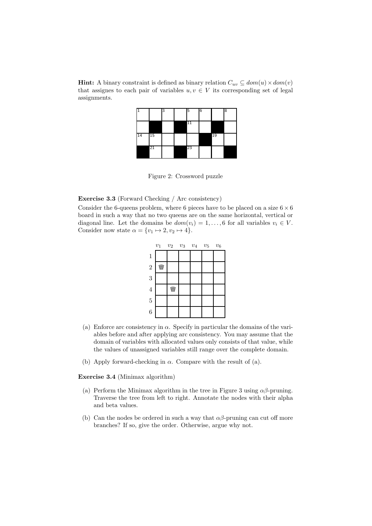**Hint:** A binary constraint is defined as binary relation  $C_{uv} \subseteq dom(u) \times dom(v)$ that assignes to each pair of variables  $u, v \in V$  its corresponding set of legal assignments.

|    |    | 3 | 5  | 6 |    | 8 |
|----|----|---|----|---|----|---|
|    |    |   | 11 |   |    |   |
| 14 | 15 |   |    |   | 19 |   |
|    | 21 |   | 23 |   |    |   |

Figure 2: Crossword puzzle

Exercise 3.3 (Forward Checking / Arc consistency)

Consider the 6-queens problem, where 6 pieces have to be placed on a size  $6 \times 6$ board in such a way that no two queens are on the same horizontal, vertical or diagonal line. Let the domains be  $dom(v_i) = 1, \ldots, 6$  for all variables  $v_i \in V$ . Consider now state  $\alpha = \{v_1 \mapsto 2, v_2 \mapsto 4\}.$ 

|                | $v_1$ $v_2$ $v_3$ $v_4$ $v_5$ |   |  | $\boldsymbol{v_6}$ |
|----------------|-------------------------------|---|--|--------------------|
| $\mathbf{1}$   |                               |   |  |                    |
| $\overline{2}$ | Ŵ                             |   |  |                    |
| 3              |                               |   |  |                    |
| $\overline{4}$ |                               | 嚠 |  |                    |
| $\overline{5}$ |                               |   |  |                    |
| 6              |                               |   |  |                    |

- (a) Enforce arc consistency in  $\alpha$ . Specify in particular the domains of the variables before and after applying arc consistency. You may assume that the domain of variables with allocated values only consists of that value, while the values of unassigned variables still range over the complete domain.
- (b) Apply forward-checking in  $\alpha$ . Compare with the result of (a).

Exercise 3.4 (Minimax algorithm)

- (a) Perform the Minimax algorithm in the tree in Figure 3 using  $\alpha\beta$ -pruning. Traverse the tree from left to right. Annotate the nodes with their alpha and beta values.
- (b) Can the nodes be ordered in such a way that  $\alpha\beta$ -pruning can cut off more branches? If so, give the order. Otherwise, argue why not.